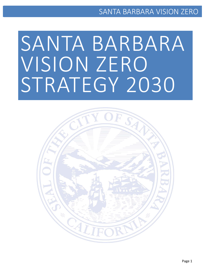# SANTA BARBARA VISION ZERO STRATEGY 2030

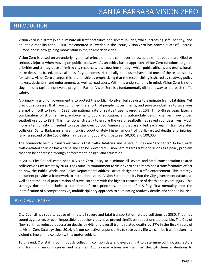### INTRODUCTION

Vision Zero is a strategy to eliminate all traffic fatalities and severe injuries, while increasing safe, healthy, and equitable mobility for all. First implemented in Sweden in the 1990s, Vision Zero has proved successful across Europe and is now gaining momentum in major American cities.

Vision Zero is based on an underlying ethical principle that it can never be acceptable that people are killed or seriously injured when moving on public roadways. As an ethics-based approach, Vision Zero functions to guide priorities and strategic use of limited city resources. It is a new lens through which public officials and professionals make decisions based, above all, on safety outcomes. Historically, road users have held most of the responsibility for safety. Vision Zero changes this relationship by emphasizing that the responsibility is shared by roadway policy makers, designers, and enforcement, as well as road users. With this understanding in mind, Vision Zero is not a slogan, not a tagline, not even a program. Rather, Vision Zero is a fundamentally different way to approach traffic safety.

A primary mission of government is to protect the public. No silver bullet exists to eliminate traffic fatalities. Yet previous successes that have combined the efforts of people, governments, and private industries to save lives are not difficult to find. In 1985, the national rate of seatbelt use hovered at 20%. Thirty-three years later, a combination of stronger laws, enforcement, public education, and automobile design changes have driven seatbelt use up to 88%. This intentional strategy to ensure the use of seatbelts has saved countless lives. Much more intentionality is needed to save the over 30,000 Americans that are killed each year in traffic-related collisions. Santa Barbarans share in a disproportionately higher amount of traffic-related deaths and injuries, ranking second of the 105 California cities with populations between 50,001 and 100,000.

The commonly held but mistaken view is that traffic fatalities and severe injuries are "accidents." In fact, each traffic-related collision has a cause and can be prevented. Vision Zero regards traffic collisions as a policy problem that can be addressed through enforcement, design, and education.

In 2016, City Council established a Vision Zero Policy to eliminate all severe and fatal transportation-related collisions on City streets by 2030. The Council's commitment to Vision Zero has already had a transformative effect on how the Public Works and Police Departments address street design and traffic enforcement. This strategy document provides a framework to institutionalize the Vision Zero mentality into the City government culture, as well as set the initial prioritization of travel corridors with the highest recurrence of death and severe injury. This strategy document includes a statement of core principles, adoption of a Safety First mentality, and the identification of a comprehensive, multidisciplinary approach to eliminating roadway deaths and serious injuries.

### OUR CHALLENGE

City Council has set a target to eliminate all severe and fatal transportation-related collisions by 2030. That may sound aggressive, or even impossible, but other cities have proved significant reductions are possible. The City of New York has reduced pedestrian deaths by 44% and overall traffic-related deaths by 27% in the first 4 years of its Vision Zero Strategy since 2014. It is our collective responsibility to save every life we can, be it a life taken in a violent crime or in a collision with a motor vehicle.

To this end, City staff is continuously collecting collision data and evaluating it to determine contributing factors and trends in serious injuries and fatalities. Appropriate actions are identified through these evaluations to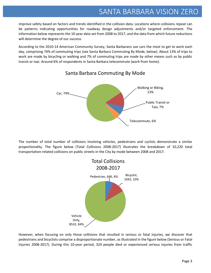improve safety based on factors and trends identified in the collision data. Locations where collisions repeat can be patterns indicating opportunities for roadway design adjustments and/or targeted enforcement. The information below represents the 10-year data set from 2008 to 2017, and the data from which future reductions will determine the degree of our success.

According to the 2010-14 American Community Survey, Santa Barbarans use cars the most to get to work each day, comprising 74% of commuting trips (see Santa Barbara Commuting By Mode, below). About 13% of trips to work are made by bicycling or walking and 7% of commuting trips are made by other means such as by public transit or taxi. Around 6% of respondents in Santa Barbara telecommute (work from home).



### Santa Barbara Commuting By Mode

The number of total number of collisions involving vehicles, pedestrians and cyclists demonstrate a similar proportionality. The figure below (Total Collisions 2008-2017) illustrates the breakdown of 10,220 total transportation-related collisions on public streets in the City by mode between 2008 and 2017.



However, when focusing on only those collisions that resulted in serious or fatal injuries, we discover that pedestrians and bicyclists comprise a disproportionate number, as illustrated in the figure below (Serious or Fatal Injuries 2008-2017). During this 10-year period, 324 people died or experienced serious injuries from traffic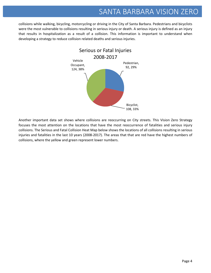collisions while walking, bicycling, motorcycling or driving in the City of Santa Barbara. Pedestrians and bicyclists were the most vulnerable to collisions resulting in serious injury or death. A serious injury is defined as an injury that results in hospitalization as a result of a collision. This information is important to understand when developing a strategy to reduce collision related deaths and serious injuries.



Another important data set shows where collisions are reoccurring on City streets. This Vision Zero Strategy focuses the most attention on the locations that have the most reoccurrence of fatalities and serious injury collisions. The Serious and Fatal Collision Heat Map below shows the locations of all collisions resulting in serious injuries and fatalities in the last 10 years (2008-2017). The areas that that are red have the highest numbers of collisions, where the yellow and green represent lower numbers.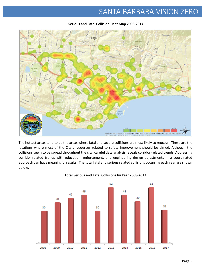

#### **Serious and Fatal Collision Heat Map 2008-2017**

The hottest areas tend to be the areas where fatal and severe collisions are most likely to reoccur. These are the locations where most of the City's resources related to safety improvement should be aimed. Although the collisions seem to be spread throughout the city, careful data analysis reveals corridor-related trends. Addressing corridor-related trends with education, enforcement, and engineering design adjustments in a coordinated approach can have meaningful results. The total fatal and serious related collisions occurring each year are shown below.



#### **Total Serious and Fatal Collisions by Year 2008-2017**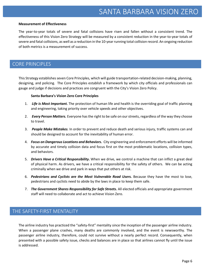#### **Measurement of Effectiveness**

The year-to-year totals of severe and fatal collisions have risen and fallen without a consistent trend. The effectiveness of this Vision Zero Strategy will be measured by a consistent reduction in the year-to-year totals of severe and fatal collisions, as well as a reduction in the 10-year running total collision record. An ongoing reduction of both metrics is a measurement of success.

### CORE PRINCIPLES

This Strategy establishes seven Core Principles, which will guide transportation-related decision-making, planning, designing, and policing. The Core Principles establish a framework by which city officials and professionals can gauge and judge if decisions and practices are congruent with the City's Vision Zero Policy.

#### **Santa Barbara's Vision Zero Core Principles**

- 1. *Life is Most Important.* The protection of human life and health is the overriding goal of traffic planning and engineering, taking priority over vehicle speeds and other objectives.
- 2. *Every Person Matters.* Everyone has the right to be safe on our streets, regardless of the way they choose to travel.
- 3. *People Make Mistakes.* In order to prevent and reduce death and serious injury, traffic systems can and should be designed to account for the inevitability of human error.
- 4. *Focus on Dangerous Locations and Behaviors***.** City engineering and enforcement efforts will be informed by accurate and timely collision data and focus first on the most problematic locations, collision types, and behaviors.
- 5. *Drivers Have a Critical Responsibility***.** When we drive, we control a machine that can inflict a great deal of physical harm. As drivers, we have a critical responsibility for the safety of others. We can be acting criminally when we drive and park in ways that put others at risk.
- 6. *Pedestrians and Cyclists are the Most Vulnerable Road Users.* Because they have the most to lose, pedestrians and cyclists need to abide by the laws in place to keep them safe.
- 7. *The Government Shares Responsibility for Safe Streets.* All elected officials and appropriate government staff will need to collaborate and act to achieve Vision Zero.

### THE SAFETY-FIRST MENTALITY

The airline industry has practiced the "safety-first" mentality since the inception of the passenger airline industry. When a passenger plane crashes, many deaths are commonly involved, and the event is newsworthy. The passenger airline industry, therefore, could not survive without a nearly perfect record. Consequently, when presented with a possible safety issue, checks and balances are in place so that airlines cannot fly until the issue is addressed.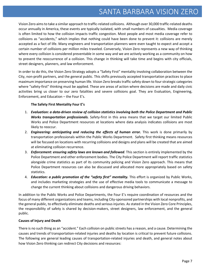Vision Zero aims to take a similar approach to traffic-related collisions. Although over 30,000 traffic-related deaths occur annually in America, these events are typically isolated, with small numbers of casualties. Media coverage is often limited to how the collision impacts traffic congestion. Most people and most media coverage refer to collisions as "accidents," which implies that nothing could have been done to prevent it: collisions are merely accepted as a fact of life. Many engineers and transportation planners were even taught to expect and accept a certain number of collisions per million miles traveled. Conversely, Vision Zero represents a new way of thinking where every collision is considered preventable in some way and we are actively working as a community on how to prevent the reoccurrence of a collision. This change in thinking will take time and begins with city officials, street designers, planners, and law enforcement.

In order to do this, the Vision Zero Strategy adopts a "Safety First" mentality involving collaboration between the City, non-profit partners, and the general public. This shifts previously accepted transportation practices to place maximum importance on preserving human life. Vision Zero breaks traffic safety down to four strategic categories where "safety-first" thinking must be applied. These are areas of action where decisions are made and daily civic activities bring us closer to our zero fatalities and severe collisions goal. They are Evaluation, Engineering, Enforcement, and Education – the Four E's.

#### **The Safety First Mentality Four E's**

- 1. *Evaluation: a data-driven review of collision statistics involving both the Police Department and Public Works transportation professionals.* Safety-first in this area means that we target our limited Public Works and Police Department resources at locations where data analysis indicates collisions are most likely to reoccur.
- 2. *Engineering: anticipating and reducing the effects of human error.* This work is done primarily by transportation professionals within the Public Works Department. Safety first thinking means resources will be focused on locations with recurring collisions and designs and plans will be created that are aimed at eliminating collision recurrence.
- 3. *Enforcement: ensuring safety laws are known and followed.* This section is entirely implemented by the Police Department and other enforcement bodies. The City Police Department will report traffic statistics alongside crime statistics as part of its community policing and Vision Zero approach. This means that Police Department resources can also be discussed and allocated more appropriately based on safety statistics.
- 4. *Education: a public promotion of the "safety first" mentality.* This effort is organized by Public Works, and includes marketing strategies and the use of effective media tools to communicate a message to change the current thinking about collisions and dangerous driving behaviors.

In addition to the Public Works and Police Departments, the Four E's require coordination of resources and the focus of many different organizations and teams, including City-sponsored partnerships with local nonprofits, and the general public, to effectively eliminate deaths and serious injuries. As stated in the Vision Zero Core Principles, the responsibility of safety is shared by decision-makers, street designers, law enforcement, and the general public.

#### **Causes of Injury and Death**

There is no such thing as an "accident." Each collision on public streets has a reason, and a cause. Determining the causes and trends of transportation-related injuries and deaths by location is critical to prevent future collisions. The following are general leading causes of transportation-related injuries and death, and general notes about how Vision Zero thinking can redirect City decisions and resources: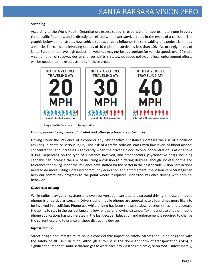#### *Speeding*

According to the World Health Organization, excess speed is responsible for approximately one in every three traffic fatalities, and is directly correlated with lower survival rates in the event of a collision. The graphic below demonstrates how vehicle speeds directly influence the survivability of a pedestrian hit by a vehicle. For collisions involving speeds of 40 mph, the survival is less than 10%. Accordingly, areas of Santa Barbara that have high pedestrian volumes may not be appropriate for vehicle speeds over 20 mph. A combination of roadway design changes, shifts in statewide speed policy, and local enforcement efforts will be needed to make adjustments in these areas.



Image: Seattle Department of Transportation

#### *Driving under the influence of alcohol and other psychoactive substances*

Driving under the influence of alcohol or any psychoactive substance increases the risk of a collision resulting in death or serious injury. The risk of a traffic collision starts with low levels of blood alcohol concentration, and increases significantly when the driver's blood alcohol concentration is at or above 0.08%. Depending on the type of substance involved, and other factors, psychoactive drugs including cannabis can increase the risk of incurring a collision to differing degrees. Though societal norms and tolerance for driving under the influence have shifted for the better in the past decade, Vision Zero actions need to do more. Using increased community education and enforcement, the Vision Zero Strategy can help our community progress to the point where it equates under-the-influence driving with criminal behavior.

#### *Distracted driving*

While radios, navigation systems and even conversation can lead to distracted driving, the use of mobile phones is of particular concern. Drivers using mobile phones are approximately four times more likely to be involved in a collision. Phone use while driving has been shown to slow reaction times, and decrease the ability to stay in the correct lane or allow for a safe following distance. Texting and use of other mobile phone applications has proliferated in the last decade. Education and enforcement is required to change the current use and tolerance of these distracting devices.

#### *Infrastructure*

Street design and infrastructure have a considerable impact on safety. Streets should be designed with the safety of all users in mind. Although auto use is the dominant form of transportation (74%), a significant number of Santa Barbarans get to work each day via transit, bicycle, or on foot. Unfortunately,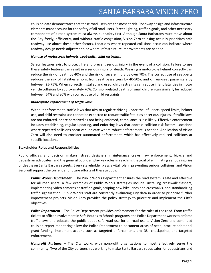collision data demonstrates that these road users are the most at risk. Roadway design and infrastructure elements must account for the safety of all road users. Street lighting, traffic signals, and other necessary components of a road system must always put safety first. Although Santa Barbarans must move about the City freely, efficiently, and without traffic congestion, Vision Zero thinking actually prioritizes safe roadway use above these other factors. Locations where repeated collisions occur can indicate where roadway design needs adjustment, or where infrastructure improvements are needed.

#### *Nonuse of motorcycle helmets, seat-belts, child restraints*

Safety features exist to protect life and prevent serious injury in the event of a collision. Failure to use these safety features can result in a serious injury or death. Wearing a motorcycle helmet correctly can reduce the risk of death by 40% and the risk of severe injury by over 70%. The correct use of seat-belts reduces the risk of fatalities among front seat passengers by 40-50%, and of rear-seat passengers by between 25-75%. When correctly installed and used, child restraints can reduce infant fatalities in motor vehicle collisions by approximately 70%. Collision-related deaths of small children can similarly be reduced between 54% and 80% with correct use of child restraints.

#### *Inadequate enforcement of traffic laws*

Without enforcement, traffic laws that aim to regulate driving under the influence, speed limits, helmet use, and child restraint use cannot be expected to reduce traffic fatalities or serious injuries. If traffic laws are not enforced, or are perceived as not being enforced, compliance is less likely. Effective enforcement includes establishing, regular updating, and enforcing laws that address collision risk factors. Locations where repeated collisions occur can indicate where robust enforcement is needed. Application of Vision Zero will also need to consider automated enforcement, which has effectively reduced collisions at specific locations.

#### **Stakeholder Roles and Responsibilities**

Public officials and decision makers, street designers, maintenance crews, law enforcement, bicycle and pedestrian advocates, and the general public all play key roles in reaching the goal of eliminating serious injuries or deaths on Santa Barbara streets. Every stakeholder plays a vital role in preventing serious collisions, and Vision Zero will support the current and future efforts of these groups:

*Public Works Department* – The Public Works Department ensures the road system is safe and effective for all road users. A few examples of Public Works strategies include: installing crosswalk flashers, implementing video cameras at traffic signals, striping new bike lanes and crosswalks, and standardizing traffic signalization. Public Works staff are constantly evaluating City data in order to prioritize further improvement projects. Vision Zero provides the policy strategy to prioritize and implement the City's objectives.

*Police Department* – The Police Department provides enforcement for the rules of the road. From traffic tickets to officer involvement in Safe Routes to Schools programs, the Police Department works to enforce traffic laws and educate the public about safe road use for all road users. Vision Zero and continued collision report monitoring allow the Police Department to document areas of need, procure additional grant funding, implement actions such as targeted enforcements and DUI checkpoints, and targeted enforcement.

*Nonprofit Partners* – The City works with nonprofit organizations to most effectively serve the community. Two of the City partnerships working to make Santa Barbara roads safer for pedestrians and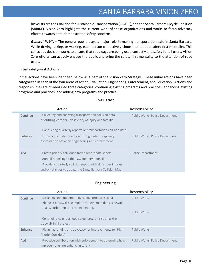bicyclists are the Coalition for Sustainable Transportation (COAST), and the Santa Barbara Bicycle Coalition (SBBIKE). Vision Zero highlights the current work of these organizations and works to focus advocacy efforts towards data-demonstrated safety concerns.

*General Public* – The general public plays a major role in making transportation safe in Santa Barbara. While driving, biking, or walking, each person can actively choose to adopt a safety first mentality. This conscious decision works to ensure that roadways are being used correctly and safely for all users. Vision Zero efforts can actively engage the public and bring the safety first mentality to the attention of road users.

#### **Initial Safety-First Actions**

Initial actions have been identified below as a part of the Vision Zero Strategy. These initial actions have been categorized in each of the four areas of action: Evaluation, Engineering, Enforcement, and Education. Actions and responsibilities are divided into three categories: continuing existing programs and practices, enhancing existing programs and practices, and adding new programs and practice.

|          | Action                                                                                                                                                                                                                                       | Responsibility                  |
|----------|----------------------------------------------------------------------------------------------------------------------------------------------------------------------------------------------------------------------------------------------|---------------------------------|
| Continue | . Collecting and analyzing transportation collision data<br>prioritizing corridors by severity of injury and fatality.<br>Conducting quarterly reports on transportation collision data.                                                     | Public Works, Police Department |
| Enhance  | Efficiency of data collection through interdisciplinary<br>coordination between engineering and enforcement.                                                                                                                                 | Public Works, Police Department |
| Add      | Create priority corridor citation report data sheets.<br>. Annual reporting to the TCC and City Council.<br>· Provide a quarterly collision report with all serious injuries<br>and/or fatalities to update the Santa Barbara Collision Map. | Police Department               |

#### **Evaluation**

#### **Engineering**

|          | Action                                                                                                                                                           | Responsibility                  |  |
|----------|------------------------------------------------------------------------------------------------------------------------------------------------------------------|---------------------------------|--|
| Continue | . Designing and implementing capital projects such as<br>enhanced crosswalks, complete streets, road diets, sidewalk<br>repairs, curb ramps and street lighting. | Public Works                    |  |
|          | Continuing neighborhood safety programs such as the<br>sidewalk infill project.                                                                                  | Public Works                    |  |
| Enhance  | · Planning, funding and advocacy for improvements to "High<br>Priority Corridors".                                                                               | Public Works                    |  |
| Add      | · Proactive collaboration with enforcement to determine how<br>improvements are enhancing safety.                                                                | Public Works, Police Department |  |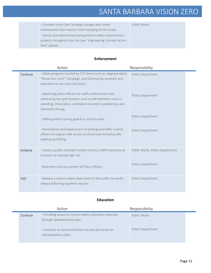· Consider Vision Zero Strategy changes with street maintenance that requires total restriping of the street. · Various pre-determined transportation safety improvement projects throughout the city (see "Engineering Corridor Action Plan" below). Public Works

#### **Enforcement**

|          | Action                                                                                                                                                                                                                                                                                                                                                                                                                                                                                                                                                                                          | Responsibility                                                                   |
|----------|-------------------------------------------------------------------------------------------------------------------------------------------------------------------------------------------------------------------------------------------------------------------------------------------------------------------------------------------------------------------------------------------------------------------------------------------------------------------------------------------------------------------------------------------------------------------------------------------------|----------------------------------------------------------------------------------|
| Continue | · Safety programs funded by OTS Grant such as, targeted detail,<br>"Know Your Limit" Campaign, and Community outreach and<br>education to you and institutions.<br>· Deploying police officers for traffic enforcement and<br>addressing hot spot locations and unsafe behaviors such as<br>speeding, intoxication, and failure to yield to pedestrians and<br>distracted driving.<br>· Staffing adult crossing guards in school zones.<br>· Participation and deployment of parking and traffic control<br>officers to support safe access to school and including safe<br>walking and biking. | Police Department<br>Police Department<br>Police Department<br>Police Department |
| Enhance  | · Create a public complaint system to focus SBPD resources at<br>locations of existing high risk.<br>· Retention and recruitment of Police officers.                                                                                                                                                                                                                                                                                                                                                                                                                                            | Public Works, Police Department<br>Police Department                             |
| Add      | · Release a citation report data sheet to the public via media<br>release following quarterly reports.                                                                                                                                                                                                                                                                                                                                                                                                                                                                                          | Police Department                                                                |

#### **Education**

÷

|          | Action                                                   | Responsibility    |
|----------|----------------------------------------------------------|-------------------|
| Continue | · Providing access to current safety education materials | Public Works      |
|          | through Santabarbaraca.gov.                              |                   |
|          | Outreach to social institutions to educate youth on      | Police Department |
|          | transportation safety.                                   |                   |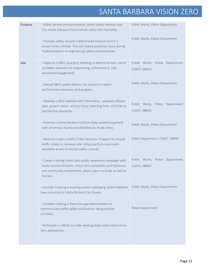| Enhance | · Public service announcements, social media releases and<br>Public Works, Police Department<br>City media releases that promote safety first mentality.                                                |                                                   |
|---------|---------------------------------------------------------------------------------------------------------------------------------------------------------------------------------------------------------|---------------------------------------------------|
|         | · Increase safety around a determined hotspot once it is<br>known to be a threat. This will reduce potential injury during<br>implementation of engineering safety enhancements.                        | Public Works, Police Department                   |
| Add     | · Organize a SBVZ quarterly meeting to determine best use of<br>available resources for engineering, enforcement, and<br>education/engagement.                                                          | Public Works, Police Department,<br>COAST, SBBIKE |
|         | · Annual SBVZ update before City Council to report<br>performance measures and progress.                                                                                                                | Public Works, Police Department                   |
|         | · Develop a SBVZ website with information, updated collision<br>data, project status, serious injury reporting links, and links to<br>partnership resources.                                            | Public Works, Police Department,<br>COAST, SBBIKE |
|         | · Maintain a Santa Barbara Collision Map updated quarterly<br>with all serious injuries and fatalities by mode share.                                                                                   | Public Works, Police Department                   |
|         | · Work to create a Traffic Ticket Diversion Program for bicycle<br>traffic tickets to increase safe riding practices and create<br>equitable access to bicycle safety courses.                          | Police Department, COAST, SBBIKE                  |
|         | · Create a strong Vision Zero public awareness campaign with<br>media announcements, Vision Zero pamphlets and literature,<br>and community involvement, which caters to locals as well as<br>tourists. | Public Works, Police Department,<br>COAST, SBBIKE |
|         | · Consider creating a marking system cataloging where fatalities<br>have occurred on Santa Barbara City Streets.                                                                                        | Public Works, Police Department                   |
|         | · Consider creating a fixed message board system to<br>communicate traffic safety notifications along priority<br>corridors.                                                                            | Police Department                                 |
|         | · Participate in efforts to make existing state policy more Vision<br>Zero appropriate.                                                                                                                 |                                                   |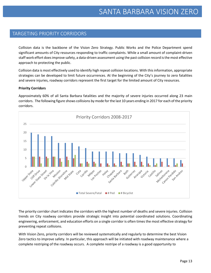### TARGETING PRIORITY CORRIDORS

Collision data is the backbone of the Vision Zero Strategy. Public Works and the Police Department spend significant amounts of City resources responding to traffic complaints. While a small amount of complaint-driven staff work effort does improve safety, a data-driven assessment using the past collision record is the most effective approach to protecting the public.

Collision data is most effectively used to identify high repeat collision locations. With this information, appropriate strategies can be developed to limit future occurrences. At the beginning of the City's journey to zero fatalities and severe injuries, roadway corridors represent the first target for the limited amount of City resources.

#### **Priority Corridors**

Approximately 60% of all Santa Barbara fatalities and the majority of severe injuries occurred along 23 main corridors. The following figure shows collisions by mode for the last 10 years ending in 2017 for each of the priority corridors.



The priority corridor chart indicates the corridors with the highest number of deaths and severe injuries. Collision trends on City roadway corridors provide strategic insight into potential coordinated solutions. Coordinating engineering, enforcement, and education efforts on a single corridor is often times the most effective strategy for preventing repeat collisions.

With Vision Zero, priority corridors will be reviewed systematically and regularly to determine the best Vision Zero tactics to improve safety. In particular, this approach will be initiated with roadway maintenance where a complete restriping of the roadway occurs. A complete restripe of a roadway is a good opportunity to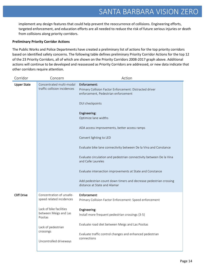implement any design features that could help prevent the reoccurrence of collisions. Engineering efforts, targeted enforcement, and education efforts are all needed to reduce the risk of future serious injuries or death from collisions along priority corridors.

#### **Preliminary Priority Corridor Actions**

The Public Works and Police Departments have created a preliminary list of actions for the top priority corridors based on identified safety concerns. The following table defines preliminary Priority Corridor Actions for the top 12 of the 23 Priority Corridors, all of which are shown on the Priority Corridors 2008-2017 graph above. Additional actions will continue to be developed and reassessed as Priority Corridors are addressed, or new data indicate that other corridors require attention.

| Corridor           | Concern                                                                                                                                                                          | Action                                                                                                                                                                                                                                                                                                                                                                                                                                                                                                                                                                                  |
|--------------------|----------------------------------------------------------------------------------------------------------------------------------------------------------------------------------|-----------------------------------------------------------------------------------------------------------------------------------------------------------------------------------------------------------------------------------------------------------------------------------------------------------------------------------------------------------------------------------------------------------------------------------------------------------------------------------------------------------------------------------------------------------------------------------------|
| <b>Upper State</b> | Concentrated multi-modal<br>traffic collision incidences                                                                                                                         | Enforcement:<br>Primary Collision Factor Enforcement: Distracted driver<br>enforcement, Pedestrian enforcement<br>DUI checkpoints<br>Engineering:<br>Optimize lane widths<br>ADA access improvements, better access ramps<br>Convert lighting to LED<br>Evaluate bike lane connectivity between De la Vina and Constance<br>Evaluate circulation and pedestrian connectivity between De la Vina<br>and Calle Laureles<br>Evaluate intersection improvements at State and Constance<br>Add pedestrian count down timers and decrease pedestrian crossing<br>distance at State and Alamar |
| <b>Cliff Drive</b> | Concentration of unsafe-<br>speed related incidences<br>Lack of bike facilities<br>between Meigs and Las<br>Positas<br>Lack of pedestrian<br>crossings<br>Uncontrolled driveways | Enforcement:<br>Primary Collision Factor Enforcement: Speed enforcement<br>Engineering:<br>Install more frequent pedestrian crossings {3-5}<br>Evaluate road diet between Meigs and Las Positas<br>Evaluate traffic control changes and enhanced pedestrian<br>connections                                                                                                                                                                                                                                                                                                              |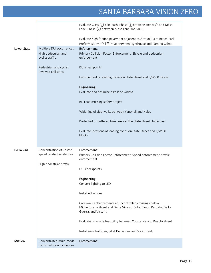|                    |                                                          | Evaluate Class $(1)$ bike path. Phase $(1)$ between Hendry's and Mesa<br>Lane, Phase (2) between Mesa Lane and SBCC                                     |
|--------------------|----------------------------------------------------------|---------------------------------------------------------------------------------------------------------------------------------------------------------|
| <b>Lower State</b> | Multiple DUI occurrences.                                | Evaluate high friction pavement adjacent to Arroyo Burro Beach Park<br>Preform study of Cliff Drive between Lighthouse and Camino Calma<br>Enforcement: |
|                    | High pedestrian and<br>cyclist traffic                   | Primary Collision Factor Enforcement: Bicycle and pedestrian<br>enforcement                                                                             |
|                    | Pedestrian and cyclist<br>involved collisions            | DUI checkpoints                                                                                                                                         |
|                    |                                                          | Enforcement of loading zones on State Street and E/W 00 blocks                                                                                          |
|                    |                                                          | Engineering:                                                                                                                                            |
|                    |                                                          | Evaluate and optimize bike lane widths                                                                                                                  |
|                    |                                                          | Railroad crossing safety project                                                                                                                        |
|                    |                                                          | Widening of side-walks between Yanonali and Haley                                                                                                       |
|                    |                                                          | Protected or buffered bike lanes at the State Street Underpass                                                                                          |
|                    |                                                          | Evaluate locations of loading zones on State Street and E/W 00<br>blocks                                                                                |
| De La Vina         | Concentration of unsafe-                                 | Enforcement:                                                                                                                                            |
|                    | speed related incidences<br>High pedestrian traffic      | Primary Collision Factor Enforcement: Speed enforcement, traffic<br>enforcement                                                                         |
|                    |                                                          | DUI checkpoints                                                                                                                                         |
|                    |                                                          | Engineering:                                                                                                                                            |
|                    |                                                          | Convert lighting to LED                                                                                                                                 |
|                    |                                                          | Install edge lines                                                                                                                                      |
|                    |                                                          | Crosswalk enhancements at uncontrolled crossings below<br>Micheltorena Street and De La Vina at: Cota, Canon Perdido, De La<br>Guerra, and Victoria     |
|                    |                                                          | Evaluate bike lane feasibility between Constance and Pueblo Street                                                                                      |
|                    |                                                          | Install new traffic signal at De La Vina and Sola Street                                                                                                |
| <b>Mission</b>     | Concentrated multi-modal<br>traffic collision incidences | Enforcement:                                                                                                                                            |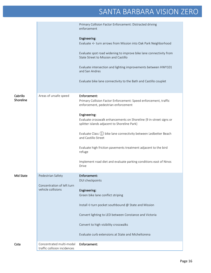|                       |                                                          | Primary Collision Factor Enforcement: Distracted driving<br>enforcement                                                 |
|-----------------------|----------------------------------------------------------|-------------------------------------------------------------------------------------------------------------------------|
|                       |                                                          | Engineering:<br>Evaluate ← turn arrows from Mission into Oak Park Neighborhood                                          |
|                       |                                                          | Evaluate spot road widening to improve bike lane connectivity from<br>State Street to Mission and Castillo              |
|                       |                                                          | Evaluate intersection and lighting improvements between HWY101<br>and San Andres                                        |
|                       |                                                          | Evaluate bike lane connectivity to the Bath and Castillo couplet                                                        |
|                       |                                                          |                                                                                                                         |
| Cabrillo<br>Shoreline | Areas of unsafe speed                                    | Enforcement:<br>Primary Collision Factor Enforcement: Speed enforcement, traffic<br>enforcement, pedestrian enforcement |
|                       |                                                          | Engineering:                                                                                                            |
|                       |                                                          | Evaluate crosswalk enhancements on Shoreline {9 in-street signs or<br>splitter islands adjacent to Shoreline Park}      |
|                       |                                                          | Evaluate Class (1) bike lane connectivity between Ledbetter Beach<br>and Castillo Street                                |
|                       |                                                          | Evaluate high friction pavements treatment adjacent to the bird<br>refuge                                               |
|                       |                                                          | Implement road diet and evaluate parking conditions east of Ninos<br>Drive                                              |
| Mid State             | Pedestrian Safety                                        | Enforcement:                                                                                                            |
|                       |                                                          | DUI checkpoints                                                                                                         |
|                       | Concentration of left turn<br>vehicle collisions         |                                                                                                                         |
|                       |                                                          | Engineering:<br>Green bike lane conflict striping                                                                       |
|                       |                                                          | Install $\leftarrow$ turn pocket southbound @ State and Mission                                                         |
|                       |                                                          | Convert lighting to LED between Constance and Victoria                                                                  |
|                       |                                                          | Convert to high visibility crosswalks                                                                                   |
|                       |                                                          | Evaluate curb extensions at State and Micheltorena                                                                      |
| Cota                  | Concentrated multi-modal<br>traffic collision incidences | Enforcement:                                                                                                            |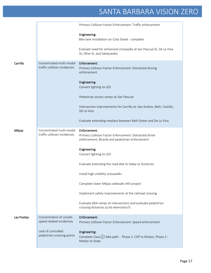|               |                                                          | Primary Collision Factor Enforcement: Traffic enforcement                                                                  |
|---------------|----------------------------------------------------------|----------------------------------------------------------------------------------------------------------------------------|
|               |                                                          | Engineering:<br>Bike lane installation on Cota Street - complete                                                           |
|               |                                                          | Evaluate need for enhanced crosswalks at San Pascual St, De La Vina<br>St, Olive St, and Salsipuedes                       |
| Carrillo      | Concentrated multi-modal<br>traffic collision incidences | Enforcement:<br>Primary Collision Factor Enforcement: Distracted driving<br>enforcement                                    |
|               |                                                          | Engineering:<br>Convert lighting to LED                                                                                    |
|               |                                                          | Pedestrian access ramps at San Pascual                                                                                     |
|               |                                                          | Intersection Improvements for Carrillo at: San Andres, Bath, Castillo,<br>De La Vina                                       |
|               |                                                          | Evaluate extending medians between Bath Street and De La Vina                                                              |
| <b>Milpas</b> | Concentrated multi-modal<br>traffic collision incidences | Enforcement:<br>Primary Collision Factor Enforcement: Distracted driver<br>enforcement, Bicycle and pedestrian enforcement |
|               |                                                          | Engineering:<br>Convert lighting to LED                                                                                    |
|               |                                                          | Evaluate extending the road diet to Haley or Gutierrez                                                                     |
|               |                                                          | Install high visibility crosswalks                                                                                         |
|               |                                                          | Complete lower Milpas sidewalk infill project                                                                              |
|               |                                                          | Implement safety improvements at the railroad crossing                                                                     |
|               |                                                          | Evaluate ADA ramps at intersections and evaluate pedestrian<br>crossing distances (curb extensions?)                       |
| Las Positas   | Concentration of unsafe-<br>speed related incidences     | Enforcement:<br>Primary Collision Factor Enforcement: Speed enforcement                                                    |
|               | Lack of controlled<br>pedestrian crossing points         | Engineering:<br>Complete Class(1) bike path - Phase 1: Cliff to Modoc, Phase 2:<br>Modoc to State                          |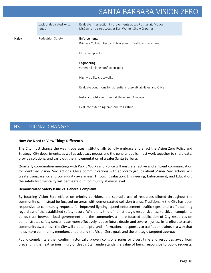|       | Lack of dedicated $\leftarrow$ turn<br>lanes | Evaluate intersection improvements at Las Positas at: Modoc,<br>McCaw, and site access at Earl Warren Show Grounds |
|-------|----------------------------------------------|--------------------------------------------------------------------------------------------------------------------|
| Haley | Pedestrian Safety                            | Enforcement:<br>Primary Collision Factor Enforcement: Traffic enforcement                                          |
|       |                                              | DUI checkpoints                                                                                                    |
|       |                                              | Engineering:                                                                                                       |
|       |                                              | Green bike lane conflict striping                                                                                  |
|       |                                              | High visibility crosswalks                                                                                         |
|       |                                              | Evaluate conditions for potential crosswalk at Haley and Olive                                                     |
|       |                                              | Install countdown timers at Haley and Anacapa                                                                      |
|       |                                              | Evaluate extending bike lane to Castillo                                                                           |

### INSTITUTIONAL CHANGES

#### **How We Need to View Things Differently**

The City must change the way it operates institutionally to fully embrace and enact the Vision Zero Policy and Strategy. City departments, as well as advocacy groups and the general public, must work together to share data, provide solutions, and carry out the implementation of a safer Santa Barbara.

Quarterly coordination meetings with Public Works and Police will ensure effective and efficient communication for identified Vision Zero Actions. Close communications with advocacy groups about Vision Zero actions will create transparency and community awareness. Through Evaluation, Engineering, Enforcement, and Education, the safety first mentality will permeate our Community at every level.

#### **Demonstrated Safety Issue vs. General Complaint**

By focusing Vision Zero efforts on priority corridors, the sporadic use of resources diluted throughout the community can instead be focused on areas with demonstrated collision trends. Traditionally the City has been responsive to community requests for improved lighting, speed enforcement, traffic signs, and traffic calming regardless of the established safety record. While this kind of non-strategic responsiveness to citizen complaints builds trust between local government and the community, a more focused application of City resources on demonstrated safety concerns can more effectively reduce future deaths and severe injuries. In its effort to create community awareness, the City will create helpful and informational responses to traffic complaints in a way that helps more community members understand the Vision Zero goals and the strategic targeted approach.

Public complaints either confirm historically proven collisions zones or divert time and resources away from preventing the next serious injury or death. Staff understands the value of being responsive to public requests,